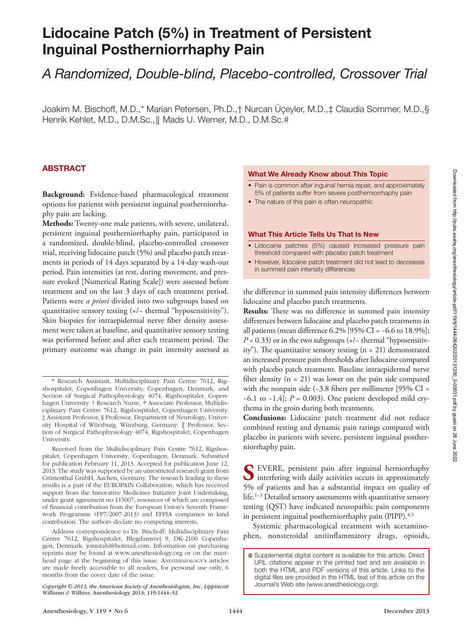# Lidocaine Patch (5%) in Treatment of Persistent Inguinal Postherniorrhaphy Pain

## *A Randomized, Double-blind, Placebo-controlled, Crossover Trial*

Joakim M. Bischoff, M.D.,\* Marian Petersen, Ph.D.,† Nurcan Üçeyler, M.D.,‡ Claudia Sommer, M.D.,§ Henrik Kehlet, M.D., D.M.Sc., || Mads U. Werner, M.D., D.M.Sc.#

## ABSTRACT

**Background:** Evidence-based pharmacological treatment options for patients with persistent inguinal postherniorrhaphy pain are lacking.

**Methods:** Twenty-one male patients, with severe, unilateral, persistent inguinal postherniorrhaphy pain, participated in a randomized, double-blind, placebo-controlled crossover trial, receiving lidocaine patch (5%) and placebo patch treatments in periods of 14 days separated by a 14-day wash-out period. Pain intensities (at rest, during movement, and pressure evoked [Numerical Rating Scale]) were assessed before treatment and on the last 3 days of each treatment period. Patients were *a priori* divided into two subgroups based on quantitative sensory testing (+/− thermal "hyposensitivity"). Skin biopsies for intraepidermal nerve fiber density assessment were taken at baseline, and quantitative sensory testing was performed before and after each treatment period. The primary outcome was change in pain intensity assessed as

#### What We Already Know about This Topic

- Pain is common after inguinal hernia repair, and approximately 5% of patients suffer from severe postherniorrhaphy pain
- The nature of this pain is often neuropathic

#### What This Article Tells Us That Is New

- • Lidocaine patches (5%) caused increased pressure pain threshold compared with placebo patch treatment
- However, lidocaine patch treatment did not lead to decreases in summed pain intensity differences

the difference in summed pain intensity differences between lidocaine and placebo patch treatments.

**Results:** There was no difference in summed pain intensity differences between lidocaine and placebo patch treatments in all patients (mean difference  $6.2\%$  [95% CI =  $-6.6$  to 18.9%];  $P = 0.33$ ) or in the two subgroups (+/− thermal "hyposensitivity"). The quantitative sensory testing  $(n = 21)$  demonstrated an increased pressure pain thresholds after lidocaine compared with placebo patch treatment. Baseline intraepidermal nerve fiber density (n = 21) was lower on the pain side compared with the nonpain side (−3.8 fibers per millimeter [95% CI = −6.1 to −1.4]; *P* = 0.003). One patient developed mild erythema in the groin during both treatments.

**Conclusions:** Lidocaine patch treatment did not reduce combined resting and dynamic pain ratings compared with placebo in patients with severe, persistent inguinal postherniorrhaphy pain.

**S** EVERE, persistent pain after inguinal herniorrhaphy interfering with daily activities occurs in approximately 5% of patients and has a substantial impact on quality of life.<sup>1–3</sup> Detailed sensory assessments with quantitative sensory testing (QST) have indicated neuropathic pain components in persistent inguinal postherniorrhaphy pain (PIPP).<sup>4,5</sup>

Systemic pharmacological treatment with acetaminophen, nonsteroidal antiinflammatory drugs, opioids,

<sup>\*</sup> Research Assistant, Multidisciplinary Pain Centre 7612, Rigshospitalet, Copenhagen University, Copenhagen, Denmark, and Section of Surgical Pathophysiology 4074, Rigshospitalet, Copenhagen University. † Research Nurse, # Associate Professor, Multidisciplinary Pain Centre 7612, Rigshospitalet, Copenhagen University. ‡ Assistant Professor, § Professor, Department of Neurology, University Hospital of Würzburg, Würzburg, Germany. ║ Professor, Section of Surgical Pathophysiology 4074, Rigshospitalet, Copenhagen University.

Received from the Multidisciplinary Pain Centre 7612, Rigshospitalet, Copenhagen University, Copenhagen, Denmark. Submitted for publication February 11, 2013. Accepted for publication June 12, 2013. The study was supported by an unrestricted research grant from Grünenthal GmbH, Aachen, Germany. The research leading to these results is a part of the EUROPAIN Collaboration, which has received support from the Innovative Medicines Initiative Joint Undertaking, under grant agreement no 115007, resources of which are composed of financial contribution from the European Union's Seventh Framework Programme (FP7/2007-2013) and EFPIA companies in kind contribution. The authors declare no competing interests.

Address correspondence to Dr. Bischoff: Multidisciplinary Pain Centre 7612, Rigshospitalet, Blegdamsvej 9, DK-2100 Copenhagen, Denmark. [jomutahi@hotmail.com](mailto:jomutahi@hotmail.com). Information on purchasing reprints may be found at [www.anesthesiology.org](http://www.anesthesiology.org) or on the masthead page at the beginning of this issue. Anesthesiology's articles are made freely accessible to all readers, for personal use only, 6 months from the cover date of the issue.

*Copyright © 2013, the American Society of Anesthesiologists, Inc. Lippincott* Journal's Web site [\(www.anesthesiology.org\)](http://www.anesthesiology.org). *Williams & Wilkins.* Anesthesiology 2013; 119:1444–52

Supplemental digital content is available for this article. Direct URL citations appear in the printed text and are available in both the HTML and PDF versions of this article. Links to the digital files are provided in the HTML text of this article on the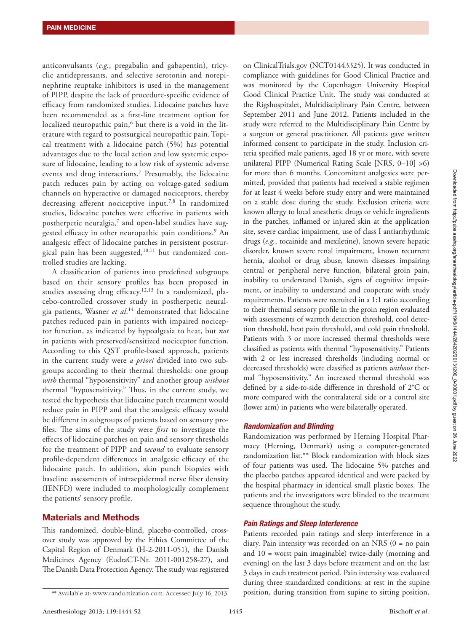anticonvulsants (*e.g.*, pregabalin and gabapentin), tricyclic antidepressants, and selective serotonin and norepinephrine reuptake inhibitors is used in the management of PIPP, despite the lack of procedure-specific evidence of efficacy from randomized studies. Lidocaine patches have been recommended as a first-line treatment option for localized neuropathic pain, $6$  but there is a void in the literature with regard to postsurgical neuropathic pain. Topical treatment with a lidocaine patch (5%) has potential advantages due to the local action and low systemic exposure of lidocaine, leading to a low risk of systemic adverse events and drug interactions.7 Presumably, the lidocaine patch reduces pain by acting on voltage-gated sodium channels on hyperactive or damaged nociceptors, thereby decreasing afferent nociceptive input.<sup>7,8</sup> In randomized studies, lidocaine patches were effective in patients with postherpetic neuralgia, $7$  and open-label studies have suggested efficacy in other neuropathic pain conditions.<sup>9</sup> An analgesic effect of lidocaine patches in persistent postsurgical pain has been suggested, $10,11$  but randomized controlled studies are lacking.

A classification of patients into predefined subgroups based on their sensory profiles has been proposed in studies assessing drug efficacy.<sup>12,13</sup> In a randomized, placebo-controlled crossover study in postherpetic neuralgia patients, Wasner *et al*. 14 demonstrated that lidocaine patches reduced pain in patients with impaired nociceptor function, as indicated by hypoalgesia to heat, but *not* in patients with preserved/sensitized nociceptor function. According to this QST profile-based approach, patients in the current study were *a priori* divided into two subgroups according to their thermal thresholds: one group *with* thermal "hyposensitivity" and another group *without* thermal "hyposensitivity." Thus, in the current study, we tested the hypothesis that lidocaine patch treatment would reduce pain in PIPP and that the analgesic efficacy would be different in subgroups of patients based on sensory profiles. The aims of the study were *first* to investigate the effects of lidocaine patches on pain and sensory thresholds for the treatment of PIPP and s*econd* to evaluate sensory profile-dependent differences in analgesic efficacy of the lidocaine patch. In addition, skin punch biopsies with baseline assessments of intraepidermal nerve fiber density (IENFD) were included to morphologically complement the patients' sensory profile.

## Materials and Methods

This randomized, double-blind, placebo-controlled, crossover study was approved by the Ethics Committee of the Capital Region of Denmark (H-2-2011-051), the Danish Medicines Agency (EudraCT-Nr. 2011-001258-27), and The Danish Data Protection Agency. The study was registered

on ClinicalTrials.gov (NCT01443325). It was conducted in compliance with guidelines for Good Clinical Practice and was monitored by the Copenhagen University Hospital Good Clinical Practice Unit. The study was conducted at the Rigshospitalet, Multidisciplinary Pain Centre, between September 2011 and June 2012. Patients included in the study were referred to the Multidisciplinary Pain Centre by a surgeon or general practitioner. All patients gave written informed consent to participate in the study. Inclusion criteria specified male patients, aged 18 yr or more, with severe unilateral PIPP (Numerical Rating Scale [NRS, 0–10] >6) for more than 6 months. Concomitant analgesics were permitted, provided that patients had received a stable regimen for at least 4 weeks before study entry and were maintained on a stable dose during the study. Exclusion criteria were known allergy to local anesthetic drugs or vehicle ingredients in the patches, inflamed or injured skin at the application site, severe cardiac impairment, use of class I antiarrhythmic drugs (*e.g.*, tocainide and mexiletine), known severe hepatic disorder, known severe renal impairment, known recurrent hernia, alcohol or drug abuse, known diseases impairing central or peripheral nerve function, bilateral groin pain, inability to understand Danish, signs of cognitive impairment, or inability to understand and cooperate with study requirements. Patients were recruited in a 1:1 ratio according to their thermal sensory profile in the groin region evaluated with assessments of warmth detection threshold, cool detection threshold, heat pain threshold, and cold pain threshold. Patients with 3 or more increased thermal thresholds were classified as patients with thermal "hyposensitivity." Patients with 2 or less increased thresholds (including normal or decreased thresholds) were classified as patients *without* thermal "hyposensitivity." An increased thermal threshold was defined by a side-to-side difference in threshold of 2°C or more compared with the contralateral side or a control site (lower arm) in patients who were bilaterally operated.

## *Randomization and Blinding*

Randomization was performed by Herning Hospital Pharmacy (Herning, Denmark) using a computer-generated randomization list.\*\* Block randomization with block sizes of four patients was used. The lidocaine 5% patches and the placebo patches appeared identical and were packed by the hospital pharmacy in identical small plastic boxes. The patients and the investigators were blinded to the treatment sequence throughout the study.

## *Pain Ratings and Sleep Interference*

Patients recorded pain ratings and sleep interference in a diary. Pain intensity was recorded on an NRS (0 = no pain and 10 = worst pain imaginable) twice-daily (morning and evening) on the last 3 days before treatment and on the last 3 days in each treatment period. Pain intensity was evaluated during three standardized conditions: at rest in the supine \*\* Available at: [www.randomization.com.](http://www.randomization.com) Accessed July 16, 2013. position, during transition from supine to sitting position,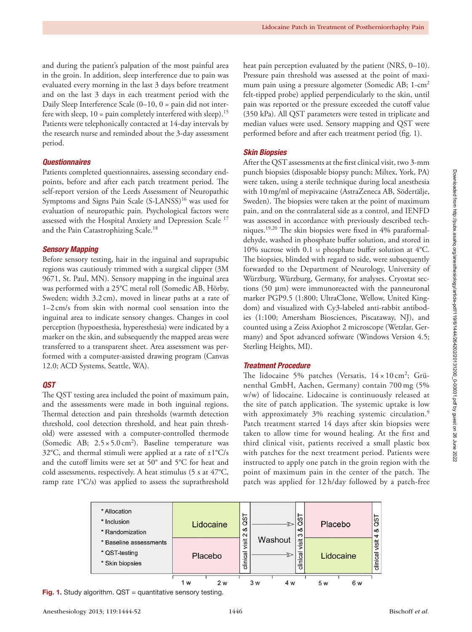and during the patient's palpation of the most painful area in the groin. In addition, sleep interference due to pain was evaluated every morning in the last 3 days before treatment and on the last 3 days in each treatment period with the Daily Sleep Interference Scale (0–10, 0 = pain did not interfere with sleep,  $10 = \text{pain completely interpreted with sleep}$ .<sup>15</sup> Patients were telephonically contacted at 14-day intervals by the research nurse and reminded about the 3-day assessment period.

## *Questionnaires*

Patients completed questionnaires, assessing secondary endpoints, before and after each patch treatment period. The self-report version of the Leeds Assessment of Neuropathic Symptoms and Signs Pain Scale (S-LANSS)<sup>16</sup> was used for evaluation of neuropathic pain. Psychological factors were assessed with the Hospital Anxiety and Depression Scale 17 and the Pain Catastrophizing Scale.<sup>18</sup>

#### *Sensory Mapping*

Before sensory testing, hair in the inguinal and suprapubic regions was cautiously trimmed with a surgical clipper (3M 9671, St. Paul, MN). Sensory mapping in the inguinal area was performed with a 25°C metal roll (Somedic AB, Hörby, Sweden; width 3.2 cm), moved in linear paths at a rate of 1–2cm/s from skin with normal cool sensation into the inguinal area to indicate sensory changes. Changes in cool perception (hypoesthesia, hyperesthesia) were indicated by a marker on the skin, and subsequently the mapped areas were transferred to a transparent sheet. Area assessment was performed with a computer-assisted drawing program (Canvas 12.0; ACD Systems, Seattle, WA).

### *QST*

The QST testing area included the point of maximum pain, and the assessments were made in both inguinal regions. Thermal detection and pain thresholds (warmth detection threshold, cool detection threshold, and heat pain threshold) were assessed with a computer-controlled thermode (Somedic AB;  $2.5 \times 5.0 \text{ cm}^2$ ). Baseline temperature was 32°C, and thermal stimuli were applied at a rate of  $\pm 1^{\circ}$ C/s and the cutoff limits were set at 50° and 5°C for heat and cold assessments, respectively. A heat stimulus (5 s at 47°C, ramp rate 1°C/s) was applied to assess the suprathreshold

heat pain perception evaluated by the patient (NRS, 0–10). Pressure pain threshold was assessed at the point of maximum pain using a pressure algometer (Somedic AB; 1-cm2 felt-tipped probe) applied perpendicularly to the skin, until pain was reported or the pressure exceeded the cutoff value (350 kPa). All QST parameters were tested in triplicate and median values were used. Sensory mapping and QST were performed before and after each treatment period (fig. 1).

### *Skin Biopsies*

After the QST assessments at the first clinical visit, two 3-mm punch biopsies (disposable biopsy punch; Miltex, York, PA) were taken, using a sterile technique during local anesthesia with 10mg/ml of mepivacaine (AstraZeneca AB, Södertälje, Sweden). The biopsies were taken at the point of maximum pain, and on the contralateral side as a control, and IENFD was assessed in accordance with previously described techniques.19,20 The skin biopsies were fixed in 4% paraformaldehyde, washed in phosphate buffer solution, and stored in 10% sucrose with 0.1 m phosphate buffer solution at 4°C. The biopsies, blinded with regard to side, were subsequently forwarded to the Department of Neurology, University of Würzburg, Würzburg, Germany, for analyses. Cryostat sections (50 μm) were immunoreacted with the panneuronal marker PGP9.5 (1:800; UltraClone, Wellow, United Kingdom) and visualized with Cy3-labeled anti-rabbit antibodies (1:100; Amersham Biosciences, Piscataway, NJ), and counted using a Zeiss Axiophot 2 microscope (Wetzlar, Germany) and Spot advanced software (Windows Version 4.5; Sterling Heights, MI).

### *Treatment Procedure*

The lidocaine 5% patches (Versatis,  $14 \times 10 \text{ cm}^2$ ; Grünenthal GmbH, Aachen, Germany) contain 700mg (5% w/w) of lidocaine. Lidocaine is continuously released at the site of patch application. The systemic uptake is low with approximately 3% reaching systemic circulation.<sup>9</sup> Patch treatment started 14 days after skin biopsies were taken to allow time for wound healing. At the first and third clinical visit, patients received a small plastic box with patches for the next treatment period. Patients were instructed to apply one patch in the groin region with the point of maximum pain in the center of the patch. The patch was applied for 12 h/day followed by a patch-free



Fig. 1. Study algorithm.  $\text{QST} =$  quantitative sensory testing.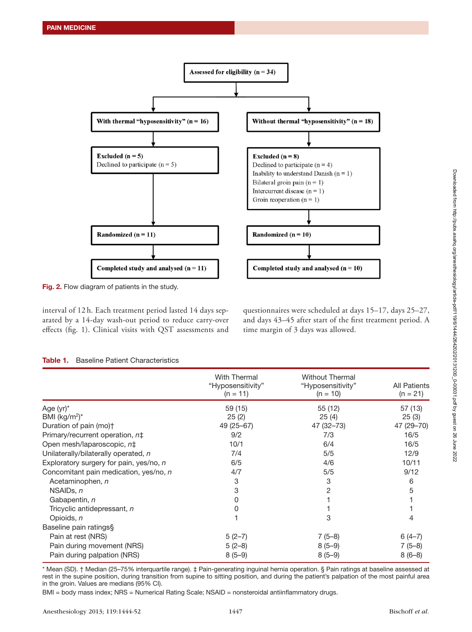

Fig. 2. Flow diagram of patients in the study.

interval of 12 h. Each treatment period lasted 14 days separated by a 14-day wash-out period to reduce carry-over effects (fig. 1). Clinical visits with QST assessments and

questionnaires were scheduled at days 15–17, days 25–27, and days 43–45 after start of the first treatment period. A time margin of 3 days was allowed.

|                                         | <b>With Thermal</b><br>"Hyposensitivity"<br>$(n = 11)$ | <b>Without Thermal</b><br>"Hyposensitivity"<br>$(n = 10)$ | <b>All Patients</b><br>$(n = 21)$ |
|-----------------------------------------|--------------------------------------------------------|-----------------------------------------------------------|-----------------------------------|
| Age (yr)*                               | 59 (15)                                                | 55 (12)                                                   | 57 (13)                           |
| BMI (kg/m <sup>2</sup> ) <sup>*</sup>   | 25(2)                                                  | 25(4)                                                     | 25(3)                             |
| Duration of pain (mo)†                  | 49 (25 - 67)                                           | 47 (32-73)                                                | 47 (29 - 70)                      |
| Primary/recurrent operation, n‡         | 9/2                                                    | 7/3                                                       | 16/5                              |
| Open mesh/laparoscopic, n‡              | 10/1                                                   | 6/4                                                       | 16/5                              |
| Unilaterally/bilaterally operated, n    | 7/4                                                    | 5/5                                                       | 12/9                              |
| Exploratory surgery for pain, yes/no, n | 6/5                                                    | 4/6                                                       | 10/11                             |
| Concomitant pain medication, yes/no, n  | 4/7                                                    | 5/5                                                       | 9/12                              |
| Acetaminophen, n                        | 3                                                      | 3                                                         | 6                                 |
| NSAID <sub>s</sub> , n                  | 3                                                      | 2                                                         | 5                                 |
| Gabapentin, n                           | 0                                                      |                                                           |                                   |
| Tricyclic antidepressant, n             | 0                                                      |                                                           |                                   |
| Opioids, n                              |                                                        | 3                                                         | 4                                 |
| Baseline pain ratings§                  |                                                        |                                                           |                                   |
| Pain at rest (NRS)                      | $5(2-7)$                                               | $7(5-8)$                                                  | $6(4-7)$                          |
| Pain during movement (NRS)              | $5(2-8)$                                               | $8(5-9)$                                                  | $7(5-8)$                          |
| Pain during palpation (NRS)             | $8(5-9)$                                               | $8(5-9)$                                                  | $8(6-8)$                          |

| Table 1. | <b>Baseline Patient Characteristics</b> |  |
|----------|-----------------------------------------|--|
|----------|-----------------------------------------|--|

\* Mean (SD). † Median (25–75% interquartile range). ‡ Pain-generating inguinal hernia operation. § Pain ratings at baseline assessed at rest in the supine position, during transition from supine to sitting position, and during the patient's palpation of the most painful area in the groin. Values are medians (95% CI).

BMI = body mass index; NRS = Numerical Rating Scale; NSAID = nonsteroidal antiinflammatory drugs.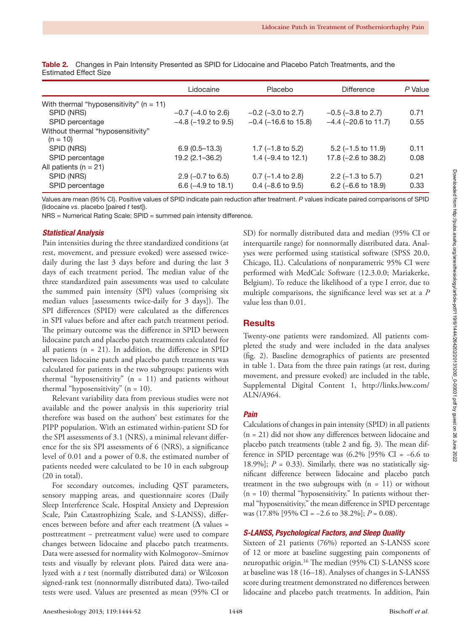|                                                 | Lidocaine                    | Placebo                       | Difference                     | P Value |
|-------------------------------------------------|------------------------------|-------------------------------|--------------------------------|---------|
| With thermal "hyposensitivity" ( $n = 11$ )     |                              |                               |                                |         |
| SPID (NRS)                                      | $-0.7$ ( $-4.0$ to 2.6)      | $-0.2$ ( $-3.0$ to 2.7)       | $-0.5$ ( $-3.8$ to 2.7)        | 0.71    |
| SPID percentage                                 | $-4.8$ ( $-19.2$ to 9.5)     | $-0.4$ ( $-16.6$ to 15.8)     | $-4.4$ ( $-20.6$ to 11.7)      | 0.55    |
| Without thermal "hyposensitivity"<br>$(n = 10)$ |                              |                               |                                |         |
| SPID (NRS)                                      | $6.9(0.5 - 13.3)$            | 1.7 ( $-1.8$ to 5.2)          | $5.2$ (-1.5 to 11.9)           | 0.11    |
| SPID percentage                                 | $19.2(2.1 - 36.2)$           | 1.4 $(-9.4 \text{ to } 12.1)$ | 17.8 $(-2.6 \text{ to } 38.2)$ | 0.08    |
| All patients ( $n = 21$ )                       |                              |                               |                                |         |
| SPID (NRS)                                      | $2.9$ (-0.7 to 6.5)          | $0.7$ (-1.4 to 2.8)           | $2.2$ (-1.3 to 5.7)            | 0.21    |
| SPID percentage                                 | $6.6(-4.9 \text{ to } 18.1)$ | $0.4$ (-8.6 to 9.5)           | $6.2$ (-6.6 to 18.9)           | 0.33    |

Table 2. Changes in Pain Intensity Presented as SPID for Lidocaine and Placebo Patch Treatments, and the Estimated Effect Size

Values are mean (95% CI). Positive values of SPID indicate pain reduction after treatment. *P* values indicate paired comparisons of SPID (lidocaine *vs*. placebo [paired *t* test]).

NRS = Numerical Rating Scale; SPID = summed pain intensity difference.

#### *Statistical Analysis*

Pain intensities during the three standardized conditions (at rest, movement, and pressure evoked) were assessed twicedaily during the last 3 days before and during the last 3 days of each treatment period. The median value of the three standardized pain assessments was used to calculate the summed pain intensity (SPI) values (comprising six median values [assessments twice-daily for 3 days]). The SPI differences (SPID) were calculated as the differences in SPI values before and after each patch treatment period. The primary outcome was the difference in SPID between lidocaine patch and placebo patch treatments calculated for all patients  $(n = 21)$ . In addition, the difference in SPID between lidocaine patch and placebo patch treatments was calculated for patients in the two subgroups: patients with thermal "hyposensitivity"  $(n = 11)$  and patients without thermal "hyposensitivity"  $(n = 10)$ .

Relevant variability data from previous studies were not available and the power analysis in this superiority trial therefore was based on the authors' best estimates for the PIPP population. With an estimated within-patient SD for the SPI assessments of 3.1 (NRS), a minimal relevant difference for the six SPI assessments of 6 (NRS), a significance level of 0.01 and a power of 0.8, the estimated number of patients needed were calculated to be 10 in each subgroup (20 in total).

For secondary outcomes, including QST parameters, sensory mapping areas, and questionnaire scores (Daily Sleep Interference Scale, Hospital Anxiety and Depression Scale, Pain Catastrophizing Scale, and S-LANSS), differences between before and after each treatment ( $\Delta$  values = posttreatment − pretreatment value) were used to compare changes between lidocaine and placebo patch treatments. Data were assessed for normality with Kolmogorov–Smirnov tests and visually by relevant plots. Paired data were analyzed with a *t* test (normally distributed data) or Wilcoxon signed-rank test (nonnormally distributed data). Two-tailed tests were used. Values are presented as mean (95% CI or

SD) for normally distributed data and median (95% CI or interquartile range) for nonnormally distributed data. Analyses were performed using statistical software (SPSS 20.0, Chicago, IL). Calculations of nonparametric 95% CI were performed with MedCalc Software (12.3.0.0; Mariakerke, Belgium). To reduce the likelihood of a type I error, due to multiple comparisons, the significance level was set at a *P* value less than 0.01.

## **Results**

Twenty-one patients were randomized. All patients completed the study and were included in the data analyses (fig. 2). Baseline demographics of patients are presented in table 1. Data from the three pain ratings (at rest, during movement, and pressure evoked) are included in the table, Supplemental Digital Content 1, [http://links.lww.com/](http://links.lww.com/ALN/A964) [ALN/A964.](http://links.lww.com/ALN/A964)

## *Pain*

Calculations of changes in pain intensity (SPID) in all patients (n = 21) did not show any differences between lidocaine and placebo patch treatments (table 2 and fig. 3). The mean difference in SPID percentage was  $(6.2\%$  [95% CI = -6.6 to 18.9%];  $P = 0.33$ ). Similarly, there was no statistically significant difference between lidocaine and placebo patch treatment in the two subgroups with  $(n = 11)$  or without (n = 10) thermal "hyposensitivity." In patients without thermal "hyposensitivity," the mean difference in SPID percentage was (17.8% [95% CI = −2.6 to 38.2%]; *P* = 0.08).

#### *S-LANSS, Psychological Factors, and Sleep Quality*

Sixteen of 21 patients (76%) reported an S-LANSS score of 12 or more at baseline suggesting pain components of neuropathic origin.16 The median (95% CI) S-LANSS score at baseline was 18 (16–18). Analyses of changes in S-LANSS score during treatment demonstrated no differences between lidocaine and placebo patch treatments. In addition, Pain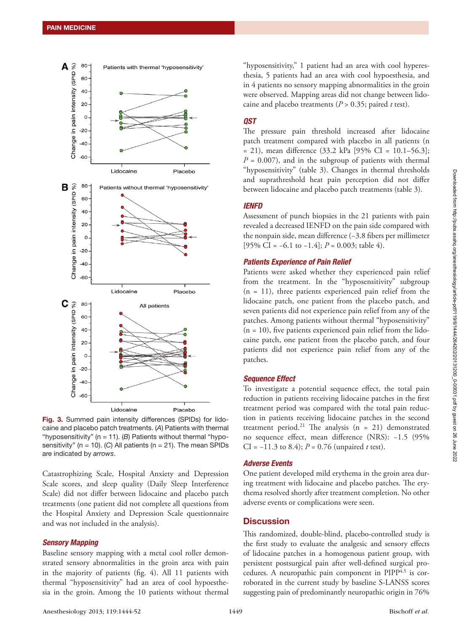

Fig. 3. Summed pain intensity differences (SPIDs) for lidocaine and placebo patch treatments. (*A*) Patients with thermal "hyposensitivity" (n = 11). (*B*) Patients without thermal "hyposensitivity" (n = 10). (*C*) All patients (n = 21). The mean SPIDs are indicated by *arrows*.

Catastrophizing Scale, Hospital Anxiety and Depression Scale scores, and sleep quality (Daily Sleep Interference Scale) did not differ between lidocaine and placebo patch treatments (one patient did not complete all questions from the Hospital Anxiety and Depression Scale questionnaire and was not included in the analysis).

#### *Sensory Mapping*

Baseline sensory mapping with a metal cool roller demonstrated sensory abnormalities in the groin area with pain in the majority of patients (fig. 4). All 11 patients with thermal "hyposensitivity" had an area of cool hypoesthesia in the groin. Among the 10 patients without thermal

"hyposensitivity," 1 patient had an area with cool hyperesthesia, 5 patients had an area with cool hypoesthesia, and in 4 patients no sensory mapping abnormalities in the groin were observed. Mapping areas did not change between lidocaine and placebo treatments (*P* > 0.35; paired *t* test).

## *QST*

The pressure pain threshold increased after lidocaine patch treatment compared with placebo in all patients (n  $= 21$ ), mean difference (33.2 kPa [95% CI = 10.1–56.3];  $P = 0.007$ , and in the subgroup of patients with thermal "hyposensitivity" (table 3). Changes in thermal thresholds and suprathreshold heat pain perception did not differ between lidocaine and placebo patch treatments (table 3).

## *IENFD*

Assessment of punch biopsies in the 21 patients with pain revealed a decreased IENFD on the pain side compared with the nonpain side, mean difference (−3.8 fibers per millimeter [95% CI = −6.1 to −1.4]; *P* = 0.003; table 4).

#### *Patients Experience of Pain Relief*

Patients were asked whether they experienced pain relief from the treatment. In the "hyposensitivity" subgroup (n = 11), three patients experienced pain relief from the lidocaine patch, one patient from the placebo patch, and seven patients did not experience pain relief from any of the patches. Among patients without thermal "hyposensitivity"  $(n = 10)$ , five patients experienced pain relief from the lidocaine patch, one patient from the placebo patch, and four patients did not experience pain relief from any of the patches.

#### *Sequence Effect*

To investigate a potential sequence effect, the total pain reduction in patients receiving lidocaine patches in the first treatment period was compared with the total pain reduction in patients receiving lidocaine patches in the second treatment period.<sup>21</sup> The analysis  $(n = 21)$  demonstrated no sequence effect, mean difference (NRS): −1.5 (95% CI = −11.3 to 8.4); *P* = 0.76 (unpaired *t* test).

#### *Adverse Events*

One patient developed mild erythema in the groin area during treatment with lidocaine and placebo patches. The erythema resolved shortly after treatment completion. No other adverse events or complications were seen.

## **Discussion**

This randomized, double-blind, placebo-controlled study is the first study to evaluate the analgesic and sensory effects of lidocaine patches in a homogenous patient group, with persistent postsurgical pain after well-defined surgical procedures. A neuropathic pain component in  $PIPP<sup>4,5</sup>$  is corroborated in the current study by baseline S-LANSS scores suggesting pain of predominantly neuropathic origin in 76%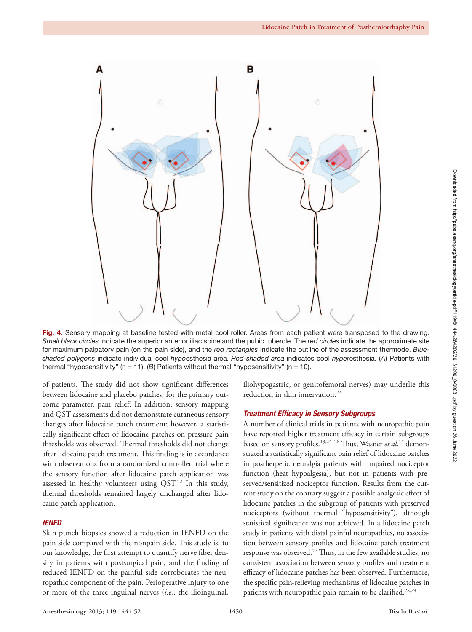

Fig. 4. Sensory mapping at baseline tested with metal cool roller. Areas from each patient were transposed to the drawing. *Small black circles* indicate the superior anterior iliac spine and the pubic tubercle. The *red circles* indicate the approximate site for maximum palpatory pain (on the pain side), and the *red rectangles* indicate the outline of the assessment thermode. *Blueshaded polygons* indicate individual cool *hypo*esthesia area. *Red-shaded area* indicates cool *hyper*esthesia. (*A*) Patients with thermal "hyposensitivity" (n = 11). (*B*) Patients without thermal "hyposensitivity" (n = 10).

of patients. The study did not show significant differences between lidocaine and placebo patches, for the primary outcome parameter, pain relief. In addition, sensory mapping and QST assessments did not demonstrate cutaneous sensory changes after lidocaine patch treatment; however, a statistically significant effect of lidocaine patches on pressure pain thresholds was observed. Thermal thresholds did not change after lidocaine patch treatment. This finding is in accordance with observations from a randomized controlled trial where the sensory function after lidocaine patch application was assessed in healthy volunteers using QST.<sup>22</sup> In this study, thermal thresholds remained largely unchanged after lidocaine patch application.

## *IENFD*

Skin punch biopsies showed a reduction in IENFD on the pain side compared with the nonpain side. This study is, to our knowledge, the first attempt to quantify nerve fiber density in patients with postsurgical pain, and the finding of reduced IENFD on the painful side corroborates the neuropathic component of the pain. Perioperative injury to one or more of the three inguinal nerves (*i.e.*, the ilioinguinal,

iliohypogastric, or genitofemoral nerves) may underlie this reduction in skin innervation.<sup>23</sup>

#### *Treatment Efficacy in Sensory Subgroups*

A number of clinical trials in patients with neuropathic pain have reported higher treatment efficacy in certain subgroups based on sensory profiles.13,24–26 Thus, Wasner *et al*. 14 demonstrated a statistically significant pain relief of lidocaine patches in postherpetic neuralgia patients with impaired nociceptor function (heat hypoalgesia), but not in patients with preserved/sensitized nociceptor function. Results from the current study on the contrary suggest a possible analgesic effect of lidocaine patches in the subgroup of patients with preserved nociceptors (without thermal "hyposensitivity"), although statistical significance was not achieved. In a lidocaine patch study in patients with distal painful neuropathies, no association between sensory profiles and lidocaine patch treatment response was observed.<sup>27</sup> Thus, in the few available studies, no consistent association between sensory profiles and treatment efficacy of lidocaine patches has been observed. Furthermore, the specific pain-relieving mechanisms of lidocaine patches in patients with neuropathic pain remain to be clarified.<sup>28,29</sup>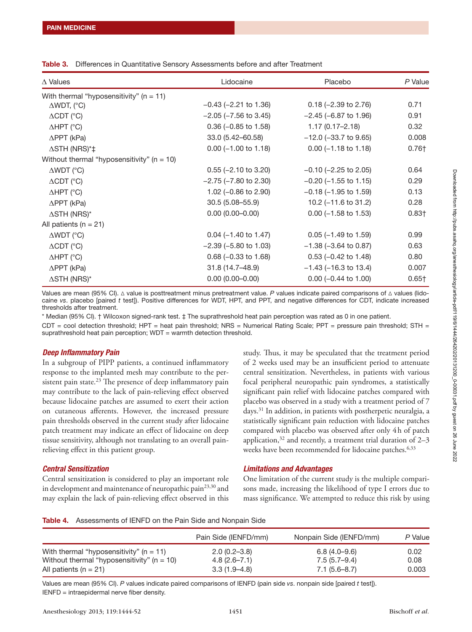| $\Delta$ Values                                | Lidocaine                  | Placebo                         | P Value           |
|------------------------------------------------|----------------------------|---------------------------------|-------------------|
| With thermal "hyposensitivity" ( $n = 11$ )    |                            |                                 |                   |
| $\triangle WDT$ , (°C)                         | $-0.43$ ( $-2.21$ to 1.36) | $0.18$ (-2.39 to 2.76)          | 0.71              |
| $\triangle$ CDT (°C)                           | $-2.05$ ( $-7.56$ to 3.45) | $-2.45$ ( $-6.87$ to 1.96)      | 0.91              |
| $\triangle HPT$ (°C)                           | $0.36$ (-0.85 to 1.58)     | $1.17(0.17 - 2.18)$             | 0.32              |
| $\triangle$ PPT (kPa)                          | 33.0 (5.42-60.58)          | $-12.0$ ( $-33.7$ to 9.65)      | 0.008             |
| $\Delta$ STH (NRS)*‡                           | $0.00$ (-1.00 to 1.18)     | $0.00$ (-1.18 to 1.18)          | 0.76†             |
| Without thermal "hyposensitivity" ( $n = 10$ ) |                            |                                 |                   |
| $\triangle WDT$ (°C)                           | $0.55$ (-2.10 to 3.20)     | $-0.10$ ( $-2.25$ to 2.05)      | 0.64              |
| $\triangle$ CDT (°C)                           | $-2.75$ ( $-7.80$ to 2.30) | $-0.20$ ( $-1.55$ to 1.15)      | 0.29              |
| $\triangle HPT$ (°C)                           | 1.02 ( $-0.86$ to 2.90)    | $-0.18$ ( $-1.95$ to 1.59)      | 0.13              |
| $\triangle$ PPT (kPa)                          | $30.5(5.08 - 55.9)$        | 10.2 $(-11.6 \text{ to } 31.2)$ | 0.28              |
| $\Delta$ STH (NRS)*                            | $0.00(0.00 - 0.00)$        | $0.00$ (-1.58 to 1.53)          | 0.83 <sub>†</sub> |
| All patients ( $n = 21$ )                      |                            |                                 |                   |
| $\triangle WDT$ (°C)                           | $0.04$ (-1.40 to 1.47)     | $0.05$ (-1.49 to 1.59)          | 0.99              |
| $\triangle$ CDT (°C)                           | $-2.39$ ( $-5.80$ to 1.03) | $-1.38$ ( $-3.64$ to 0.87)      | 0.63              |
| $\triangle HPT$ (°C)                           | $0.68$ (-0.33 to 1.68)     | $0.53$ (-0.42 to 1.48)          | 0.80              |
| $\triangle$ PPT (kPa)                          | 31.8 (14.7–48.9)           | $-1.43$ ( $-16.3$ to 13.4)      | 0.007             |
| $\Delta$ STH (NRS)*                            | $0.00(0.00 - 0.00)$        | $0.00$ (-0.44 to 1.00)          | $0.65\dagger$     |

Values are mean (95% CI). Δ value is posttreatment minus pretreatment value. *P* values indicate paired comparisons of Δ values (lidocaine *vs*. placebo [paired *t* test]). Positive differences for WDT, HPT, and PPT, and negative differences for CDT, indicate increased thresholds after treatment.

\* Median (95% CI). † Wilcoxon signed-rank test. ‡ The suprathreshold heat pain perception was rated as 0 in one patient.  $CDT = cool detection threshold$ ; HPT = heat pain threshold; NRS = Numerical Rating Scale; PPT = pressure pain threshold; STH = suprathreshold heat pain perception; WDT = warmth detection threshold.

## *Deep Inflammatory Pain*

In a subgroup of PIPP patients, a continued inflammatory response to the implanted mesh may contribute to the persistent pain state. $^{23}$  The presence of deep inflammatory pain may contribute to the lack of pain-relieving effect observed because lidocaine patches are assumed to exert their action on cutaneous afferents. However, the increased pressure pain thresholds observed in the current study after lidocaine patch treatment may indicate an effect of lidocaine on deep tissue sensitivity, although not translating to an overall painrelieving effect in this patient group.

## *Central Sensitization*

Central sensitization is considered to play an important role in development and maintenance of neuropathic pain<sup>23,30</sup> and may explain the lack of pain-relieving effect observed in this

study. Thus, it may be speculated that the treatment period of 2 weeks used may be an insufficient period to attenuate central sensitization. Nevertheless, in patients with various focal peripheral neuropathic pain syndromes, a statistically significant pain relief with lidocaine patches compared with placebo was observed in a study with a treatment period of 7 days.31 In addition, in patients with postherpetic neuralgia, a statistically significant pain reduction with lidocaine patches compared with placebo was observed after only 4h of patch application, $32$  and recently, a treatment trial duration of 2–3 weeks have been recommended for lidocaine patches.<sup>6,33</sup>

## *Limitations and Advantages*

One limitation of the current study is the multiple comparisons made, increasing the likelihood of type I errors due to mass significance. We attempted to reduce this risk by using

Table 4. Assessments of IENFD on the Pain Side and Nonpain Side

|                                                | Pain Side (IENFD/mm) | Nonpain Side (IENFD/mm) | P Value |
|------------------------------------------------|----------------------|-------------------------|---------|
| With thermal "hyposensitivity" ( $n = 11$ )    | $2.0(0.2 - 3.8)$     | 6.8 (4.0–9.6)           | 0.02    |
| Without thermal "hyposensitivity" ( $n = 10$ ) | $4.8(2.6 - 7.1)$     | $7.5(5.7-9.4)$          | 0.08    |
| All patients ( $n = 21$ )                      | $3.3(1.9 - 4.8)$     | $7.1(5.6-8.7)$          | 0.003   |

Values are mean (95% CI). *P* values indicate paired comparisons of IENFD (pain side *vs*. nonpain side [paired *t* test]). IENFD = intraepidermal nerve fiber density.